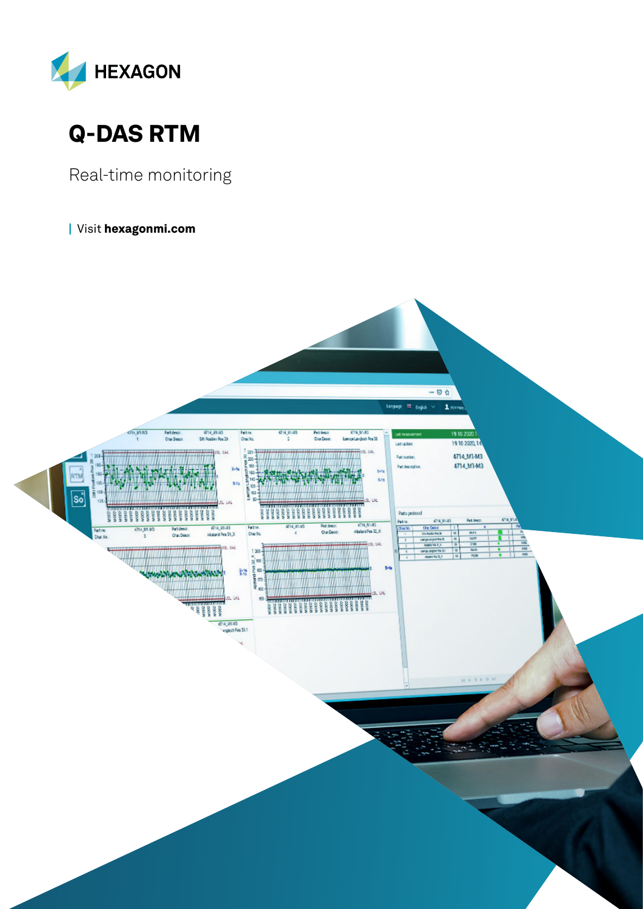



Real-time monitoring

| Visit [hexagonmi.com](https://www.hexagonmi.com/)